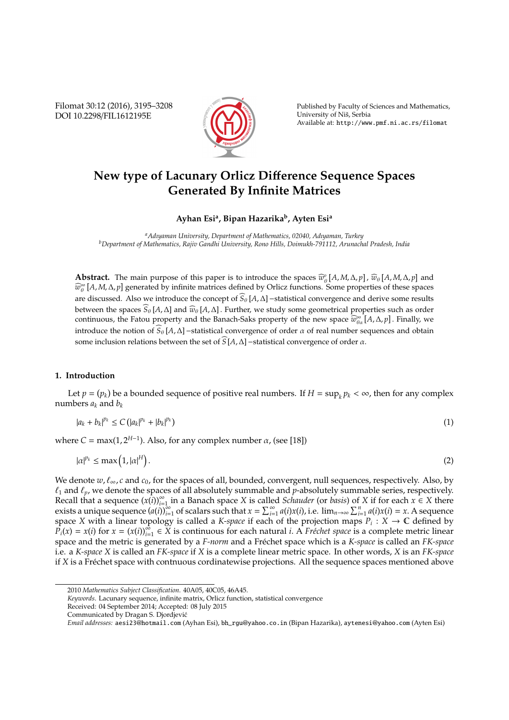Filomat 30:12 (2016), 3195–3208 DOI 10.2298/FIL1612195E



Published by Faculty of Sciences and Mathematics, University of Niš, Serbia Available at: http://www.pmf.ni.ac.rs/filomat

# **New type of Lacunary Orlicz Di**ff**erence Sequence Spaces Generated By Infinite Matrices**

# **Ayhan Esi<sup>a</sup> , Bipan Hazarika<sup>b</sup> , Ayten Esi<sup>a</sup>**

*<sup>a</sup>Adıyaman University, Department of Mathematics, 02040, Adıyaman, Turkey <sup>b</sup>Department of Mathematics, Rajiv Gandhi University, Rono Hills, Doimukh-791112, Arunachal Pradesh, India*

**Abstract.** The main purpose of this paper is to introduce the spaces  $\widehat{w}_0^p[A, M, \Delta, p]$ ,  $\widehat{w}_0[A, M, \Delta, p]$  and  $\widehat{w}_0^p[A, M, \Delta, p]$  $\widehat{w}_{\theta}^{\infty}[A, M, \Delta, p]$  generated by infinite matrices defined by Orlicz functions. Some properties of these spaces are discussed. Also we introduce the concept of <sup>b</sup>*S*<sup>θ</sup> [*A*,∆]−statistical convergence and derive some results between the spaces  $\widehat{S}_{\theta}$  [*A*,  $\Delta$ ] and  $\widehat{w}_{\theta}$  [*A*,  $\Delta$ ]. Further, we study some geometrical properties such as order continuous, the Fatou property and the Banach-Saks property of the new space  $\widehat{w}_{\theta\alpha}^{\infty}[A,\Delta,p]$ . Finally, we introduce the notion of  $S_{\theta}[A,\Delta]$ −statistical convergence of order  $\alpha$  of real number sequences and obtain some inclusion relations between the set of  $\widehat{S}$  [ $A$ ,  $\Delta$ ] −statistical convergence of order  $\alpha$ .

# **1. Introduction**

Let  $p = (p_k)$  be a bounded sequence of positive real numbers. If  $H = \sup_k p_k < \infty$ , then for any complex numbers  $a_k$  and  $b_k$ 

$$
|a_k + b_k|^{p_k} \le C \left( |a_k|^{p_k} + |b_k|^{p_k} \right) \tag{1}
$$

where  $C = \max(1, 2^{H-1})$ . Also, for any complex number  $\alpha$ , (see [18])

$$
|\alpha|^{p_k} \le \max\left(1, |\alpha|^H\right). \tag{2}
$$

We denote  $w, \ell_{\infty}, c$  and  $c_0$ , for the spaces of all, bounded, convergent, null sequences, respectively. Also, by  $\ell_1$  and  $\ell_p$ , we denote the spaces of all absolutely summable and  $p$ -absolutely summable series, respectively. Recall that a sequence  $(x(i))_{i=1}^{\infty}$  $\sum_{i=1}^{\infty}$  in a Banach space *X* is called *Schauder* (or *basis*) of *X* if for each  $x \in X$  there exists a unique sequence  $(a(i))_{i=1}^{\infty}$  of scalars such that  $x = \sum_{i=1}^{\infty} a(i)x(i)$ , i.e.  $\lim_{n\to\infty} \sum_{i=1}^{n} a(i)x(i) = x$ . A sequence space *X* with a linear topology is called a *K-space* if each of the projection maps  $P_i: X \to \mathbb{C}$  defined by  $P_i(x) = x(i)$  for  $x = (x(i))_{i=1}^{\infty} \in X$  is continuous for each natural *i*. A *Fréchet space* is a complete metric linear space and the metric is generated by a *F-norm* and a Fréchet space which is a *K-space* is called an *FK-space* i.e. a *K-space X* is called an *FK-space* if *X* is a complete linear metric space. In other words, *X* is an *FK-space* if *X* is a Fréchet space with contnuous cordinatewise projections. All the sequence spaces mentioned above

<sup>2010</sup> *Mathematics Subject Classification*. 40A05, 40C05, 46A45.

*Keywords*. Lacunary sequence, infinite matrix, Orlicz function, statistical convergence

Received: 04 September 2014; Accepted: 08 July 2015

Communicated by Dragan S. Djordjevic´

*Email addresses:* aesi23@hotmail.com (Ayhan Esi), bh\_rgu@yahoo.co.in (Bipan Hazarika), aytenesi@yahoo.com (Ayten Esi)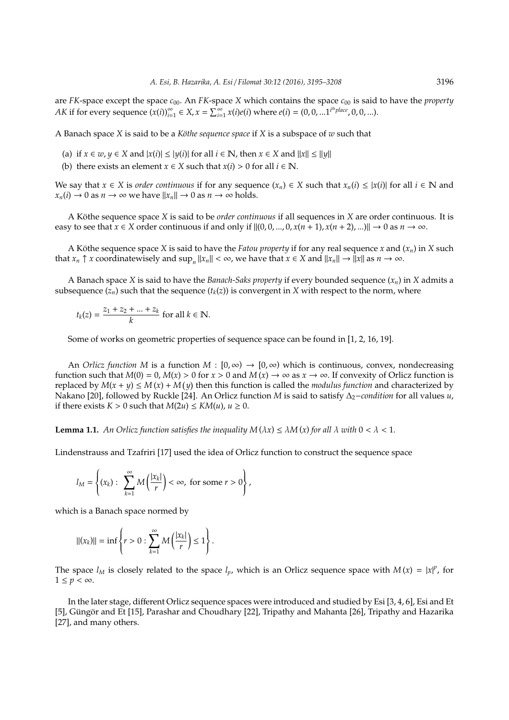are *FK*-space except the space  $c_{00}$ . An *FK*-space *X* which contains the space  $c_{00}$  is said to have the *property AK* if for every sequence  $(x(i))_{i=1}^{\infty} \in X$ ,  $x = \sum_{i=1}^{\infty} x(i)e(i)$  where  $e(i) = (0, 0, ...1^{i^{th}}$ *place*, 0, 0, ...).

A Banach space *X* is said to be a *Köthe sequence space* if *X* is a subspace of *w* such that

- (a) if  $x \in w, y \in X$  and  $|x(i)| \le |y(i)|$  for all  $i \in \mathbb{N}$ , then  $x \in X$  and  $||x|| \le ||y||$
- (b) there exists an element *x*  $\in$  *X* such that *x*(*i*) > 0 for all *i*  $\in$  **N**.

We say that  $x \in X$  is *order continuous* if for any sequence  $(x_n) \in X$  such that  $x_n(i) \leq |x(i)|$  for all  $i \in \mathbb{N}$  and  $x_n(i) \to 0$  as  $n \to \infty$  we have  $||x_n|| \to 0$  as  $n \to \infty$  holds.

A Köthe sequence space *X* is said to be *order continuous* if all sequences in *X* are order continuous. It is easy to see that  $x \in X$  order continuous if and only if  $||(0, 0, ..., 0, x(n + 1), x(n + 2), ...)$   $\rightarrow$  0 as  $n \rightarrow \infty$ .

A Köthe sequence space X is said to have the *Fatou property* if for any real sequence x and  $(x_n)$  in X such that  $x_n \uparrow x$  coordinatewisely and  $\sup_n ||x_n|| < \infty$ , we have that  $x \in X$  and  $||x_n|| \to ||x||$  as  $n \to \infty$ .

A Banach space *X* is said to have the *Banach-Saks property* if every bounded sequence (*xn*) in *X* admits a subsequence  $(z_n)$  such that the sequence  $(t_k(z))$  is convergent in *X* with respect to the norm, where

$$
t_k(z) = \frac{z_1 + z_2 + \dots + z_k}{k}
$$
 for all  $k \in \mathbb{N}$ .

Some of works on geometric properties of sequence space can be found in [1, 2, 16, 19].

An *Orlicz function M* is a function  $M : [0, \infty) \to [0, \infty)$  which is continuous, convex, nondecreasing function such that  $M(0) = 0$ ,  $M(x) > 0$  for  $x > 0$  and  $M(x) \to \infty$  as  $x \to \infty$ . If convexity of Orlicz function is replaced by  $M(x + y) \le M(x) + M(y)$  then this function is called the *modulus function* and characterized by Nakano [20], followed by Ruckle [24]. An Orlicz function *M* is said to satisfy ∆2−*condition* for all values *u*, if there exists  $K > 0$  such that  $M(2u) \le KM(u)$ ,  $u \ge 0$ .

**Lemma 1.1.** An Orlicz function satisfies the inequality  $M(\lambda x) \leq \lambda M(x)$  for all  $\lambda$  with  $0 < \lambda < 1$ .

Lindenstrauss and Tzafriri [17] used the idea of Orlicz function to construct the sequence space

$$
l_M=\left\{(x_k):~\sum_{k=1}^\infty M\left(\frac{|x_k|}{r}\right)<\infty,~\text{for some}~r>0\right\},
$$

which is a Banach space normed by

$$
||(x_k)|| = \inf \left\{ r > 0 : \sum_{k=1}^{\infty} M\left(\frac{|x_k|}{r}\right) \le 1 \right\}.
$$

The space  $l_M$  is closely related to the space  $l_p$ , which is an Orlicz sequence space with  $M(x) = |x|^p$ , for  $1 \leq p < \infty$ .

In the later stage, different Orlicz sequence spaces were introduced and studied by Esi [3, 4, 6], Esi and Et [5], Güngör and Et [15], Parashar and Choudhary [22], Tripathy and Mahanta [26], Tripathy and Hazarika [27], and many others.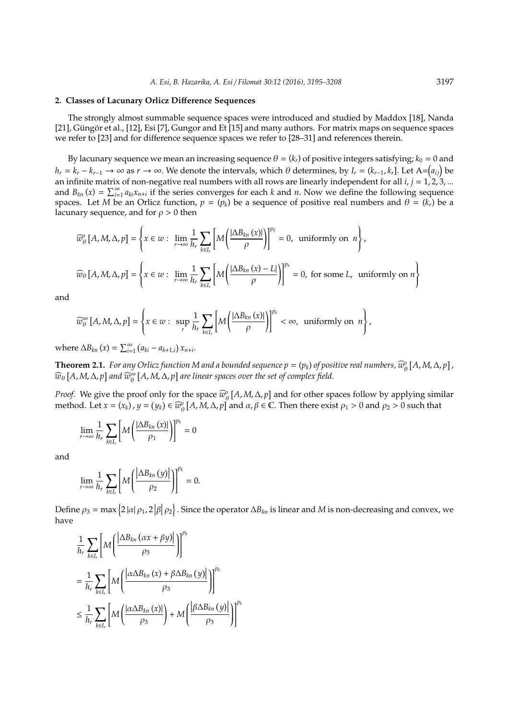#### **2. Classes of Lacunary Orlicz Di**ff**erence Sequences**

The strongly almost summable sequence spaces were introduced and studied by Maddox [18], Nanda  $[21]$ , Güngör et al.,  $[12]$ , Esi  $[7]$ , Gungor and Et  $[15]$  and many authors. For matrix maps on sequence spaces we refer to [23] and for difference sequence spaces we refer to [28–31] and references therein.

By lacunary sequence we mean an increasing sequence  $\theta = (k_r)$  of positive integers satisfying;  $k_0 = 0$  and  $h_r = k_r - k_{r-1} \to \infty$  as  $r \to \infty$ . We denote the intervals, which  $\theta$  determines, by  $I_r = (k_{r-1}, k_r]$ . Let A= $(a_{ij})$  be an infinite matrix of non-negative real numbers with all rows are linearly independent for all  $i, j = 1, 2, 3, ...$ and  $B_{kn}(x) = \sum_{i=1}^{\infty} a_{ki}x_{n+i}$  if the series converges for each *k* and *n*. Now we define the following sequence spaces. Let *M* be an Orlicz function,  $p = (p_k)$  be a sequence of positive real numbers and  $\theta = (k_r)$  be a lacunary sequence, and for  $\rho > 0$  then

$$
\widehat{w}_{\theta}^{o}[A, M, \Delta, p] = \left\{ x \in w : \lim_{r \to \infty} \frac{1}{h_r} \sum_{k \in I_r} \left[ M \left( \frac{|\Delta B_{kn}(x)|}{\rho} \right) \right]^{p_k} = 0, \text{ uniformly on } n \right\},\
$$
  

$$
\widehat{w}_{\theta}[A, M, \Delta, p] = \left\{ x \in w : \lim_{r \to \infty} \frac{1}{h_r} \sum_{k \in I_r} \left[ M \left( \frac{|\Delta B_{kn}(x) - L|}{\rho} \right) \right]^{p_k} = 0, \text{ for some } L, \text{ uniformly on } n \right\}
$$

and

$$
\widehat{w}_{\theta}^{\infty}[A, M, \Delta, p] = \left\{x \in w: \sup_{r} \frac{1}{h_{r}} \sum_{k \in I_{r}} \left[M\left(\frac{|\Delta B_{kn}(x)|}{\rho}\right)\right]^{p_{k}} < \infty, \text{ uniformly on } n\right\},\
$$

 $\text{where } \Delta B_{kn}(x) = \sum_{i=1}^{\infty} (a_{ki} - a_{k+1,i}) x_{n+i}.$ 

**Theorem 2.1.** *For any Orlicz function M and a bounded sequence*  $p = (p_k)$  *of positive real numbers,*  $\widehat{w}_{\theta}^{\circ}[A, M, \Delta, p]$ *,*  $\widehat{w}_{\theta}^{\circ}[A, M, \Delta, p]$  $\widehat{w}_{\theta}\left[A,M,\Delta,p\right]$  and  $\widehat{w}_{\theta}^{\infty}\left[A,M,\Delta,p\right]$  are linear spaces over the set of complex field.

*Proof.* We give the proof only for the space  $\widehat{w}_{\theta}^{0}[A, M, \Delta, p]$  and for other spaces follow by applying similar method. Let  $x = (x_k)$ ,  $y = (y_k) \in \widehat{w}_{\theta}^0$  [*A*, *M*,  $\Delta$ , *p*] and  $\alpha$ ,  $\beta \in \mathbb{C}$ . Then there exist  $\rho_1 > 0$  and  $\rho_2 > 0$  such that

$$
\lim_{r \to \infty} \frac{1}{h_r} \sum_{k \in I_r} \left[ M \left( \frac{|\Delta B_{kn} (x)|}{\rho_1} \right) \right]^{p_k} = 0
$$

and

$$
\lim_{r \to \infty} \frac{1}{h_r} \sum_{k \in I_r} \left[ M \left( \frac{\left| \Delta B_{kn} \left( y \right) \right|}{\rho_2} \right) \right]^{p_k} = 0.
$$

Define  $ρ_3 = \max\left\{2|\alpha|ρ_1, 2|\beta|ρ_2\right\}$ . Since the operator  $ΔB_{kn}$  is linear and *M* is non-decreasing and convex, we have

$$
\frac{1}{h_r} \sum_{k \in I_r} \left[ M \left( \frac{\left| \Delta B_{kn} \left( \alpha x + \beta y \right) \right|}{\rho_3} \right) \right]^{p_k}
$$
\n
$$
= \frac{1}{h_r} \sum_{k \in I_r} \left[ M \left( \frac{\left| \alpha \Delta B_{kn} \left( x \right) + \beta \Delta B_{kn} \left( y \right) \right|}{\rho_3} \right) \right]^{p_k}
$$
\n
$$
\leq \frac{1}{h_r} \sum_{k \in I_r} \left[ M \left( \frac{\left| \alpha \Delta B_{kn} \left( x \right) \right|}{\rho_3} \right) + M \left( \frac{\left| \beta \Delta B_{kn} \left( y \right) \right|}{\rho_3} \right) \right]^{p_k}
$$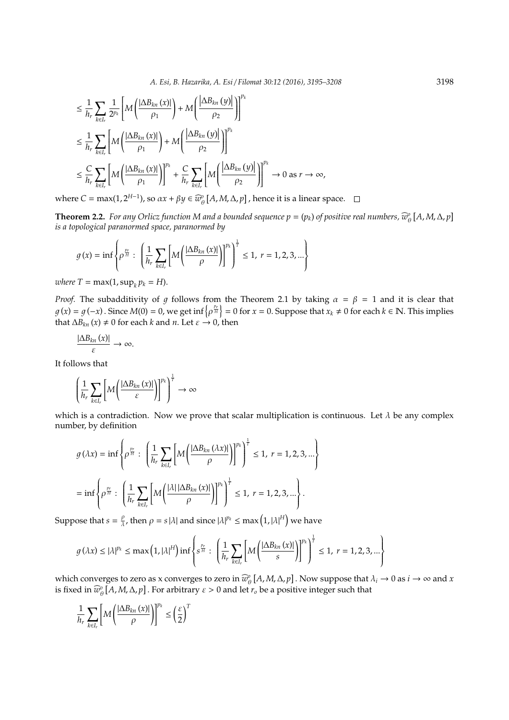$$
\leq \frac{1}{h_r} \sum_{k \in I_r} \frac{1}{2^{p_k}} \left[ M \left( \frac{|\Delta B_{kn}(x)|}{\rho_1} \right) + M \left( \frac{|\Delta B_{kn}(y)|}{\rho_2} \right) \right]^{p_k}
$$
\n
$$
\leq \frac{1}{h_r} \sum_{k \in I_r} \left[ M \left( \frac{|\Delta B_{kn}(x)|}{\rho_1} \right) + M \left( \frac{|\Delta B_{kn}(y)|}{\rho_2} \right) \right]^{p_k}
$$
\n
$$
\leq \frac{C}{h_r} \sum_{k \in I_r} \left[ M \left( \frac{|\Delta B_{kn}(x)|}{\rho_1} \right) \right]^{p_k} + \frac{C}{h_r} \sum_{k \in I_r} \left[ M \left( \frac{|\Delta B_{kn}(y)|}{\rho_2} \right) \right]^{p_k} \to 0 \text{ as } r \to \infty,
$$

where  $C = \max(1, 2^{H-1})$ , so  $\alpha x + \beta y \in \widehat{w}_{\theta}^0$   $[A, M, \Delta, p]$ , hence it is a linear space.

**Theorem 2.2.** *For any Orlicz function M and a bounded sequence*  $p = (p_k)$  *of positive real numbers,*  $\widehat{w}_{\theta}^o$  *[A, M,*  $\Delta$ *,*  $p$ *] is a topological naranormed space, naranormed by is a topological paranormed space, paranormed by*

$$
g(x) = \inf \left\{ \rho^{\frac{p_r}{H}} : \left( \frac{1}{h_r} \sum_{k \in I_r} \left[ M \left( \frac{|\Delta B_{kn}(x)|}{\rho} \right) \right]^{p_k} \right)^{\frac{1}{T}} \le 1, \ r = 1, 2, 3, ... \right\}
$$

 $where T = max(1, sup<sub>k</sub> p<sub>k</sub> = H).$ 

*Proof.* The subadditivity of g follows from the Theorem 2.1 by taking  $\alpha = \beta = 1$  and it is clear that  $g(x) = g(-x)$  . Since  $M(0) = 0$ , we get inf $\left\{\rho^{\frac{p_r}{H}}\right\} = 0$  for  $x = 0$ . Suppose that  $x_k \neq 0$  for each  $k \in \mathbb{N}$ . This implies that  $\Delta B_{kn}(x) \neq 0$  for each *k* and *n*. Let  $\varepsilon \rightarrow 0$ , then

$$
\frac{|\Delta B_{kn}\left(x\right)|}{\varepsilon}\rightarrow\infty.
$$

It follows that

$$
\left(\frac{1}{h_r}\sum_{k\in I_r}\left[M\left(\frac{|\Delta B_{kn}\left(x\right)|}{\varepsilon}\right)\right]^{p_k}\right)^{\frac{1}{r}}\to\infty
$$

which is a contradiction. Now we prove that scalar multiplication is continuous. Let  $\lambda$  be any complex number, by definition

$$
g(\lambda x) = \inf \left\{ \rho^{\frac{pr}{H}} : \left( \frac{1}{h_r} \sum_{k \in I_r} \left[ M \left( \frac{|\Delta B_{kn}(\lambda x)|}{\rho} \right) \right]^{p_k} \right)^{\frac{1}{r}} \le 1, r = 1, 2, 3, \dots \right\}
$$
  
= 
$$
\inf \left\{ \rho^{\frac{pr}{H}} : \left( \frac{1}{h_r} \sum_{k \in I_r} \left[ M \left( \frac{|\lambda| |\Delta B_{kn}(x)|}{\rho} \right) \right]^{p_k} \right)^{\frac{1}{r}} \le 1, r = 1, 2, 3, \dots \right\}.
$$

Suppose that  $s = \frac{\rho}{\lambda}$  $\frac{\rho}{\lambda}$ , then  $\rho = s|\lambda|$  and since  $|\lambda|^{p_k} \le \max\left(1, |\lambda|^H\right)$  we have

$$
g(\lambda x) \le |\lambda|^{p_k} \le \max\left(1, |\lambda|^H\right) \inf\left\{s^{\frac{p_r}{H}}: \left(\frac{1}{h_r} \sum_{k \in I_r} \left[M\left(\frac{|\Delta B_{kn}(x)|}{s}\right)\right]^{p_k}\right)^{\frac{1}{T}} \le 1, \ r = 1, 2, 3, ...\right\}
$$

which converges to zero as x converges to zero in  $\widehat{w}_{\theta}^{0}[A, M, \Delta, p]$ . Now suppose that  $\lambda_i \to 0$  as  $i \to \infty$  and *x* is fixed in  $\widehat{w}_{\theta}^{\circ}[A, M, \Delta, p]$  . For arbitrary  $\varepsilon > 0$  and let  $r_o$  be a positive integer such that

$$
\frac{1}{h_r} \sum_{k \in I_r} \left[ M \left( \frac{|\Delta B_{kn} (x)|}{\rho} \right) \right]^{p_k} \leq \left( \frac{\varepsilon}{2} \right)^T
$$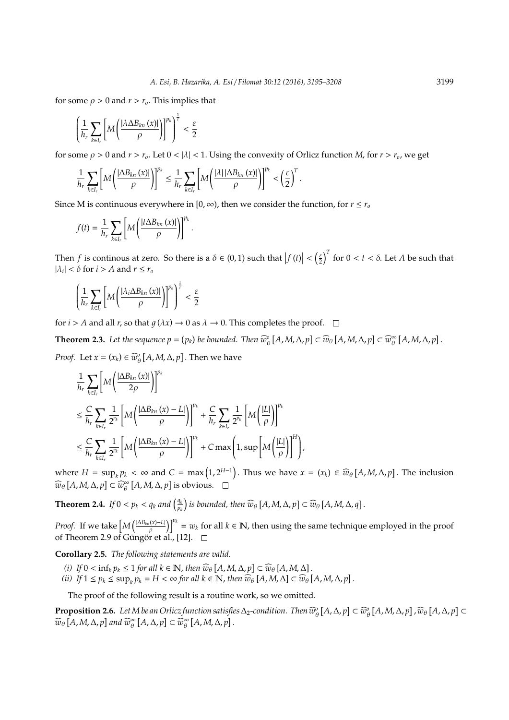for some  $\rho > 0$  and  $r > r_o$ . This implies that

$$
\left(\frac{1}{h_r}\sum_{k\in I_r}\left[M\left(\frac{|\lambda\Delta B_{kn}\left(x\right)|}{\rho}\right)\right]^{p_k}\right)^{\frac{1}{r}}<\frac{\varepsilon}{2}
$$

for some  $\rho > 0$  and  $r > r_o$ . Let  $0 < |\lambda| < 1$ . Using the convexity of Orlicz function *M*, for  $r > r_o$ , we get

$$
\frac{1}{h_r}\sum_{k\in I_r}\left[M\left(\frac{|\Delta B_{kn}\left(x\right)|}{\rho}\right)\right]^{p_k}\leq \frac{1}{h_r}\sum_{k\in I_r}\left[M\left(\frac{|\lambda|\,|\Delta B_{kn}\left(x\right)|}{\rho}\right)\right]^{p_k}<\left(\frac{\varepsilon}{2}\right)^T.
$$

Since M is continuous everywhere in  $[0, \infty)$ , then we consider the function, for  $r \leq r_o$ 

$$
f(t) = \frac{1}{h_r} \sum_{k \in I_r} \left[ M \left( \frac{|t \Delta B_{kn} (x)|}{\rho} \right) \right]^{p_k}.
$$

Then *f* is continuous at zero. So there is a  $\delta \in (0,1)$  such that  $|f(t)| < \left(\frac{\varepsilon}{2}\right)^T$  for  $0 < t < \delta$ . Let *A* be such that  $|\lambda_i| < \delta$  for  $i > A$  and  $r \leq r_o$ 

$$
\left(\frac{1}{h_r}\sum_{k\in I_r}\left[M\left(\frac{|\lambda_i\Delta B_{kn}\left(x\right)|}{\rho}\right)\right]^{p_k}\right)^{\frac{1}{r}}<\frac{\varepsilon}{2}
$$

for *i* > *A* and all *r*, so that  $q(\lambda x) \rightarrow 0$  as  $\lambda \rightarrow 0$ . This completes the proof.  $\square$ 

**Theorem 2.3.** Let the sequence  $p = (p_k)$  be bounded. Then  $\widehat{w}_{\theta}^{\circ}[A, M, \Delta, p] \subset \widehat{w}_{\theta}[A, M, \Delta, p] \subset \widehat{w}_{\theta}^{\infty}[A, M, \Delta, p]$ .

*Proof.* Let  $x = (x_k) \in \widehat{w}_{\theta}^{\circ}[A, M, \Delta, p]$ . Then we have

$$
\frac{1}{h_r} \sum_{k \in I_r} \left[ M \left( \frac{|\Delta B_{kn} (x)|}{2\rho} \right) \right]^{p_k}
$$
\n
$$
\leq \frac{C}{h_r} \sum_{k \in I_r} \frac{1}{2^{p_k}} \left[ M \left( \frac{|\Delta B_{kn} (x) - L|}{\rho} \right) \right]^{p_k} + \frac{C}{h_r} \sum_{k \in I_r} \frac{1}{2^{p_k}} \left[ M \left( \frac{|L|}{\rho} \right) \right]^{p_k}
$$
\n
$$
\leq \frac{C}{h_r} \sum_{k \in I_r} \frac{1}{2^{p_k}} \left[ M \left( \frac{|\Delta B_{kn} (x) - L|}{\rho} \right) \right]^{p_k} + C \max \left( 1, \sup \left[ M \left( \frac{|L|}{\rho} \right) \right]^H \right),
$$

where  $H = \sup_k p_k < \infty$  and  $C = \max(1, 2^{H-1})$ . Thus we have  $x = (x_k) \in \widehat{w}_\theta[A, M, \Delta, p]$ . The inclusion  $\widehat{w}_{\theta}[A, M, \Delta, p] \subset \widehat{w}_{\theta}^{\infty}[A, M, \Delta, p]$  is obvious.

**Theorem 2.4.** *If*  $0 < p_k < q_k$  *and*  $\left(\frac{q_k}{p_k}\right)$  $\widehat{p}_k$ ) is bounded, then  $\widehat{w}_\theta$   $[A, M, \Delta, p] \subset \widehat{w}_\theta$   $[A, M, \Delta, q]$ .

*Proof.* If we take  $\left[M\left(\frac{|\Delta B_{kn}(x)-L|}{\rho}\right)\right]^{p_k} = w_k$  for all  $k \in \mathbb{N}$ , then using the same technique employed in the proof of Theorem 2.9 of Güngör et al., [12].  $\square$ 

**Corollary 2.5.** *The following statements are valid.*

- (*i*) If  $0 < \inf_k p_k \le 1$  *for all*  $k \in \mathbb{N}$ , *then*  $\widehat{w}_{\theta} [A, M, \Delta, p] \subset \widehat{w}_{\theta} [A, M, \Delta]$ .<br> *A*, *ii*) If  $1 \le n \le \infty$  is a set of well  $k \in \mathbb{N}$ , then  $\widehat{w}_{\theta} [A, M, \Delta] \subset \widehat{w}_{\theta}$ .
- *(ii)*  $\int f \mathbb{1} \leq p_k \leq \sup_k p_k = H < \infty$  for all  $k \in \mathbb{N}$ , then  $\widehat{w}_{\theta} [A, M, \Delta] \subset \widehat{w}_{\theta} [A, M, \Delta, p].$

The proof of the following result is a routine work, so we omitted.

**Proposition 2.6.** Let M be an Orlicz function satisfies  $\Delta_2$ -condition. Then  $\widehat{w}_{\theta}^{\circ}[A,\Delta,p] \subset \widehat{w}_{\theta}^{\circ}[A,M,\Delta,p]$ ,  $\widehat{w}_{\theta}[A,\Delta,p] \subset \widehat{w}_{\theta}^{\circ}[A,M,\Delta,p]$  $\widehat{w}_{\theta}$   $[A, M, \Delta, p]$  and  $\widehat{w}_{\theta}^{\infty}$   $[A, \Delta, p] \subset \widehat{w}_{\theta}^{\infty}$   $[A, M, \Delta, p]$ .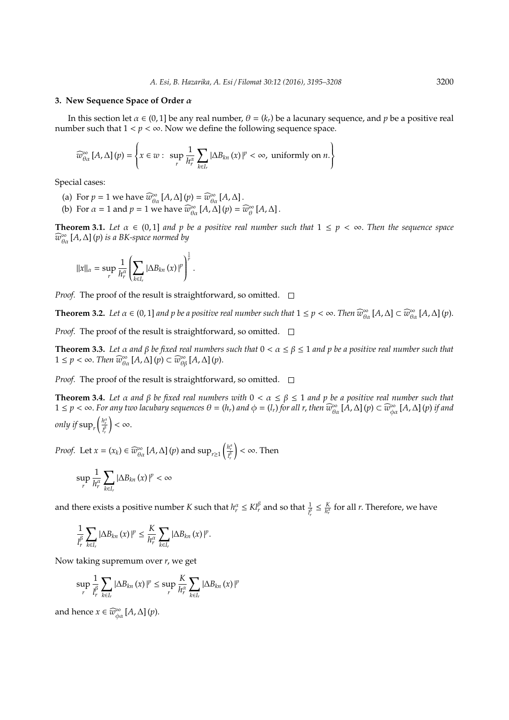#### **3. New Sequence Space of Order** α

In this section let  $\alpha \in (0, 1]$  be any real number,  $\theta = (k_r)$  be a lacunary sequence, and  $p$  be a positive real number such that  $1 < p < \infty$ . Now we define the following sequence space.

$$
\widehat{w}_{\theta\alpha}^{\infty}[A,\Delta](p) = \left\{x \in w: \sup_r \frac{1}{h_r^{\alpha}} \sum_{k \in I_r} |\Delta B_{kn}(x)|^p < \infty, \text{ uniformly on } n.\right\}
$$

Special cases:

- (a) For  $p = 1$  we have  $\widehat{w}_{\theta\alpha}^{\infty}[A,\Delta](p) = \widehat{w}_{\theta\alpha}^{\infty}[A,\Delta]$ .
- (b) For  $\alpha = 1$  and  $p = 1$  we have  $\widehat{w}_{\theta\alpha}^{\infty}[A, \Delta](p) = \widehat{w}_{\theta}^{\infty}[A, \Delta]$ .

**Theorem 3.1.** Let  $\alpha \in (0,1]$  and  $p$  be a positive real number such that  $1 \leq p < \infty$ . Then the sequence space *w*b∞ θα [*A*,∆] (*p*) *is a BK-space normed by*

$$
||x||_{\alpha} = \sup_{r} \frac{1}{h_r^{\alpha}} \left( \sum_{k \in I_r} |\Delta B_{kn} (x)|^p \right)^{\frac{1}{p}}.
$$

*Proof.* The proof of the result is straightforward, so omitted.  $\square$ 

**Theorem 3.2.** *Let*  $\alpha \in (0, 1]$  *and*  $p$  *be a positive real number such that*  $1 \le p < \infty$ . *Then*  $\widehat{w}_{\theta\alpha}^{\infty}[A, \Delta] \subset \widehat{w}_{\theta\alpha}^{\infty}[A, \Delta](p)$ .

*Proof.* The proof of the result is straightforward, so omitted.  $\square$ 

**Theorem 3.3.** *Let* α *and* β *be fixed real numbers such that* 0 < α ≤ β ≤ 1 *and p be a positive real number such that*  $1 \le p < \infty$ . *Then*  $\widehat{w}_{\theta\alpha}^{\infty}[A,\Delta](p) \subset \widehat{w}_{\theta\beta}^{\infty}[A,\Delta](p)$ .

*Proof.* The proof of the result is straightforward, so omitted.  $\square$ 

**Theorem 3.4.** Let  $\alpha$  and  $\beta$  be fixed real numbers with  $0 < \alpha \leq \beta \leq 1$  and  $p$  be a positive real number such that  $1 \le p < \infty$ . For any two lacubary sequences  $\theta = (h_r)$  and  $\phi = (l_r)$  for all r, then  $\widehat{w}_{\theta\alpha}^{\infty}[A,\Delta](p) \subset \widehat{w}_{\phi\alpha}^{\infty}[A,\Delta](p)$  if and *only if*  $\sup_{r} \left( \frac{h_r^a}{l_r^{\beta}} \right)$  $\vert < \infty$ .

*Proof.* Let  $x = (x_k) \in \widehat{w}_{\theta\alpha}^{\infty} [A, \Delta] (p)$  and  $\sup_{r \geq 1} \left( \frac{h_r^{\alpha}}{l_r^{\beta}} \right)$  $\vert < \infty$ . Then

$$
\sup_{r} \frac{1}{h_r^{\alpha}} \sum_{k \in I_r} |\Delta B_{kn}(x)|^p < \infty
$$

and there exists a positive number *K* such that  $h_r^{\alpha} \leq K l_r^{\beta}$  and so that  $\frac{1}{l_r^{\beta}}$  $\leq \frac{K}{h_r^{\alpha}}$  for all *r*. Therefore, we have

$$
\frac{1}{l_r^\beta}\sum_{k\in I_r}|\Delta B_{kn}\left(x\right)|^p\leq \frac{K}{h_r^\alpha}\sum_{k\in I_r}|\Delta B_{kn}\left(x\right)|^p.
$$

Now taking supremum over *r*, we get

$$
\sup_{r} \frac{1}{l_r^{\beta}} \sum_{k \in I_r} |\Delta B_{kn} (x)|^p \leq \sup_{r} \frac{K}{l_r^{\alpha}} \sum_{k \in I_r} |\Delta B_{kn} (x)|^p
$$

and hence  $x \in \widehat{w}_{\phi\alpha}^{\infty}[A,\Delta](p)$ .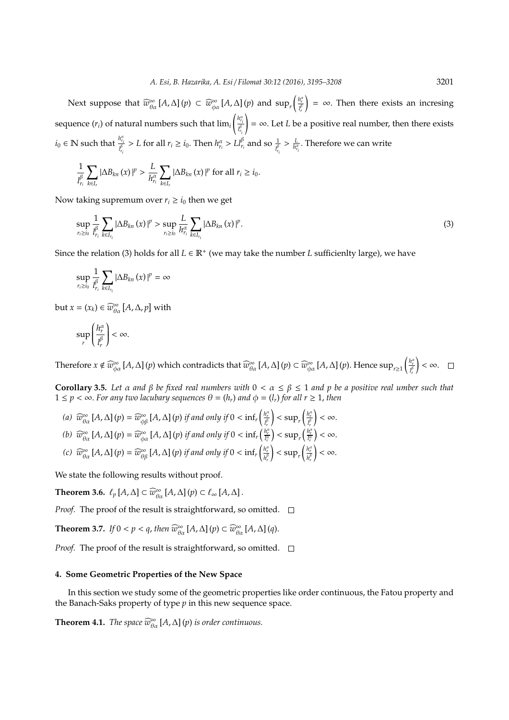Next suppose that  $\widehat{w}^{\infty}_{\theta\alpha}[A,\Delta](p) \subset \widehat{w}^{\infty}_{\phi\alpha}[A,\Delta](p)$  and  $\sup_{r} \left( \frac{h_r^{\alpha}}{l_r^{\beta}} \right)$  $=$  ∞. Then there exists an incresing sequence (*ri*) of natural numbers such that lim*<sup>i</sup>*  $\left(\frac{h_{r_i}^{\alpha}}{l_{r_i}^{\beta}}\right)$  $i_0 \in \mathbb{N}$  such that  $\frac{h_{r_i}^{\alpha}}{l_{r_i}^{\beta}} > L$  for all  $r_i \geq i_0$ . Then  $h_{r_i}^{\alpha} > Ll_{r_i}^{\beta}$  and so  $\frac{1}{l_{r_i}^{\beta}} > \frac{L}{h_{r_i}^{\alpha}}$ . Therefore we can write  $\vert = \infty$ . Let *L* be a positive real number, then there exists

$$
\frac{1}{l_{r_i}^{\beta}}\sum_{k\in I_r}|\Delta B_{kn}(x)|^p > \frac{L}{h_{r_i}^{\alpha}}\sum_{k\in I_r}|\Delta B_{kn}(x)|^p \text{ for all } r_i \geq i_0.
$$

Now taking supremum over  $r_i \geq i_0$  then we get

$$
\sup_{r_{i}\geq i_{0}}\frac{1}{l_{r_{i}}^{\beta}}\sum_{k\in I_{r_{i}}}|\Delta B_{kn}(x)|^{p}>\sup_{r_{i}\geq i_{0}}\frac{L}{h_{r_{i}}^{\alpha}}\sum_{k\in I_{r_{i}}}|\Delta B_{kn}(x)|^{p}.
$$
\n(3)

Since the relation (3) holds for all  $L \in \mathbb{R}^+$  (we may take the number *L* sufficienlty large), we have

$$
\sup_{r_{i}\geq i_{0}}\frac{1}{l_{r_{i}}^{\beta}}\sum_{k\in I_{r_{i}}}\left|\Delta B_{kn}\left(x\right)\right|^{p}=\infty
$$

but *x* =  $(x_k) \in \widehat{w}_{\theta\alpha}^{\infty}[A, \Delta, p]$  with

$$
\sup_r \left(\frac{h_r^\alpha}{l_r^\beta}\right) < \infty.
$$

Therefore  $x \notin \widehat{w}^{\infty}_{\phi\alpha}[A,\Delta](p)$  which contradicts that  $\widehat{w}^{\infty}_{\theta\alpha}[A,\Delta](p) \subset \widehat{w}^{\infty}_{\phi\alpha}[A,\Delta](p)$ . Hence  $\sup_{r\geq 1}\left(\frac{h_r^\alpha}{l_r^\beta}\right)$  $\vert < \infty$ .

**Corollary 3.5.** *Let* α *and* β *be fixed real numbers with* 0 < α ≤ β ≤ 1 *and p be a positive real umber such that*  $1 \leq p < \infty$ . For any two lacubary sequences  $\theta = (h_r)$  and  $\phi = (l_r)$  for all  $r \geq 1$ , then

(*a*)  $\widehat{w}_{\theta\alpha}^{\infty}[A,\Delta](p) = \widehat{w}_{\phi\beta}^{\infty}[A,\Delta](p)$  *if and only if*  $0 < \inf_r \left(\frac{h_r^{\alpha}}{l_r^{\beta}}\right)$  $\left| \frac{h_r^\alpha}{l_r^\beta}\right|$  $\vert < \infty$ . (b)  $\widehat{w}_{\theta\alpha}^{\infty}[A,\Delta](p) = \widehat{w}_{\phi\alpha}^{\infty}[A,\Delta](p)$  if and only if  $0 < \inf_r \left(\frac{h_r^a}{l_r^a}\right) < \sup_r \left(\frac{h_r^a}{l_r^a}\right) < \infty$ . *(c)*  $\widehat{w}_{\theta\alpha}^{\infty}[A,\Delta](p) = \widehat{w}_{\theta\beta}^{\infty}[A,\Delta](p)$  *if and only if*  $0 < \inf_r \left(\frac{h_r^{\alpha\beta}}{h_r^{\beta\beta}}\right)$  $\left| \frac{h_r^\alpha}{h_r^\beta}\right|$  $\vert < \infty$ .

We state the following results without proof.

**Theorem 3.6.**  $\ell_p$  [*A*,  $\Delta$ ]  $\subset \widehat{w}_{\theta\alpha}^{\infty}$  [*A*,  $\Delta$ ] (*p*)  $\subset \ell_{\infty}$  [*A*,  $\Delta$ ] .

*Proof.* The proof of the result is straightforward, so omitted.  $\square$ 

**Theorem 3.7.** *If*  $0 < p < q$ , *then*  $\widehat{w}_{\theta\alpha}^{\infty}[A,\Delta](p) \subset \widehat{w}_{\theta\alpha}^{\infty}[A,\Delta](q)$ .

*Proof.* The proof of the result is straightforward, so omitted.  $\square$ 

# **4. Some Geometric Properties of the New Space**

In this section we study some of the geometric properties like order continuous, the Fatou property and the Banach-Saks property of type *p* in this new sequence space.

**Theorem 4.1.** *The space*  $\widehat{w}_{\theta\alpha}^{\infty}[A,\Delta](p)$  *is order continuous.*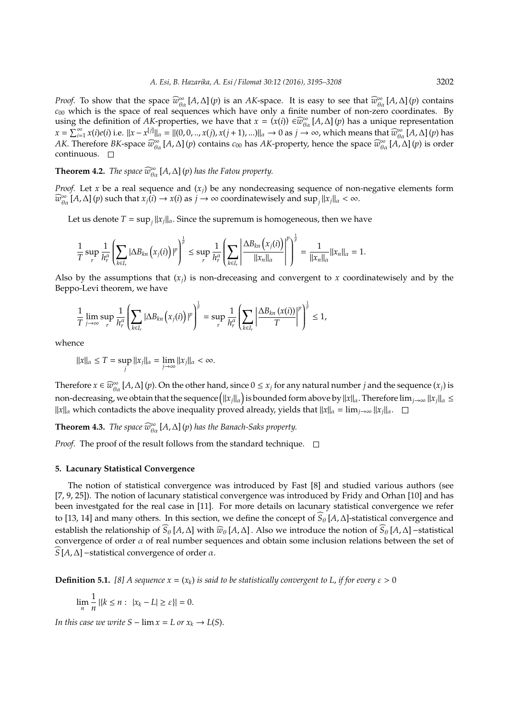*Proof.* To show that the space  $\widehat{w}_{\theta\alpha}^{\infty}[A,\Delta](p)$  is an *AK*-space. It is easy to see that  $\widehat{w}_{\theta\alpha}^{\infty}[A,\Delta](p)$  contains *c*<sup>00</sup> which is the space of real sequences which have only a finite number of non-zero coordinates. By using the definition of *AK*-properties, we have that  $x = (x(i)) \in \widehat{w}_{\theta\alpha}^{\infty}[A, \Delta](p)$  has a unique representation  $x = \sum_{i=1}^{\infty} x(i)e(i)$  i.e.  $||x - x^{[j]}||_{\alpha} = ||(0, 0, ..., x(j), x(j+1), ...)||_{\alpha} \to 0$  as  $j \to \infty$ , which means that  $\widehat{w}_{\alpha}^{\infty}[A, \Delta](p)$  has *AK*. Therefore *BK*-space  $\widehat{w}_{\theta\alpha}^{\infty}[A,\Delta](p)$  contains  $c_{00}$  has *AK*-property, hence the space  $\widehat{w}_{\theta\alpha}^{\infty}[A,\Delta](p)$  is order continuous.

**Theorem 4.2.** *The space*  $\widehat{w}_{\theta\alpha}^{\infty}[A,\Delta](p)$  *has the Fatou property.* 

*Proof.* Let *x* be a real sequence and  $(x_i)$  be any nondecreasing sequence of non-negative elements form  $\widehat{w}_{\theta\alpha}^{\infty}[A,\Delta](p)$  such that  $x_j(i) \to x(i)$  as  $j \to \infty$  coordinatewisely and  $\sup_j ||x_j||_{\alpha} < \infty$ .

Let us denote  $T = \sup_j ||x_j||_{\alpha}$ . Since the supremum is homogeneous, then we have

$$
\frac{1}{T}\sup_r\frac{1}{h_r^\alpha}\left(\sum_{k\in I_r}|\Delta B_{kn}\left(x_j(i)\right)|^p\right)^{\frac{1}{p}}\leq \sup_r\frac{1}{h_r^\alpha}\left(\sum_{k\in I_r}\left|\frac{\Delta B_{kn}\left(x_j(i)\right)}{\|x_n\|_\alpha}\right|^p\right)^{\frac{1}{p}}=\frac{1}{\|x_n\|_\alpha}\|x_n\|_\alpha=1.
$$

Also by the assumptions that  $(x_i)$  is non-dreceasing and convergent to x coordinatewisely and by the Beppo-Levi theorem, we have

$$
\frac{1}{T}\lim_{j\to\infty}\sup_r\frac{1}{h_r^{\alpha}}\left(\sum_{k\in I_r}|\Delta B_{kn}(x_j(i))|^p\right)^{\frac{1}{p}}=\sup_r\frac{1}{h_r^{\alpha}}\left(\sum_{k\in I_r}\left|\frac{\Delta B_{kn}(x(i))}{T}\right|^p\right)^{\frac{1}{p}}\leq 1,
$$

whence

$$
||x||_{\alpha} \leq T = \sup_{j} ||x_j||_{\alpha} = \lim_{j \to \infty} ||x_j||_{\alpha} < \infty.
$$

Therefore  $x \in \widehat{w}_{\theta\alpha}^{\infty}[A,\Delta](p)$ . On the other hand, since  $0 \leq x_j$  for any natural number *j* and the sequence  $(x_j)$  is non-decreasing, we obtain that the sequence (||x<sub>*j*||α</sub>) is bounded form above by ||x||α</sub>. Therefore lim<sub>*j→∞ ||x<sub>j</sub>||α</sub> ≤</sub>*  $||x||_{\alpha}$  which contadicts the above inequality proved already, yields that  $||x||_{\alpha} = \lim_{j \to \infty} ||x_j||_{\alpha}$ .

**Theorem 4.3.** *The space*  $\widehat{w}_{\theta\alpha}^{\infty}[A,\Delta](p)$  *has the Banach-Saks property.* 

*Proof.* The proof of the result follows from the standard technique.  $\Box$ 

## **5. Lacunary Statistical Convergence**

The notion of statistical convergence was introduced by Fast [8] and studied various authors (see [7, 9, 25]). The notion of lacunary statistical convergence was introduced by Fridy and Orhan [10] and has been investgated for the real case in [11]. For more details on lacunary statistical convergence we refer to [13, 14] and many others. In this section, we define the concept of  $S_{\theta}$  [*A*, ∆]-statistical convergence and establish the relationship of  $\widehat{S}_{\theta}[A,\Delta]$  with  $\widehat{w}_{\theta}[A,\Delta]$ . Also we introduce the notion of  $\widehat{S}_{\theta}[A,\Delta]$  –statistical convergence of order  $\alpha$  of real number sequences and obtain some inclusion relations between the set of <sup>b</sup>*<sup>S</sup>* [*A*,∆]−statistical convergence of order α.

**Definition 5.1.** [8] A sequence  $x = (x_k)$  is said to be statistically convergent to L, if for every  $\varepsilon > 0$ 

$$
\lim_{n} \frac{1}{n} | \{ k \le n : |x_k - L| \ge \varepsilon \} | = 0.
$$

*In this case we write*  $S - \lim x = L$  *or*  $x_k \to L(S)$ .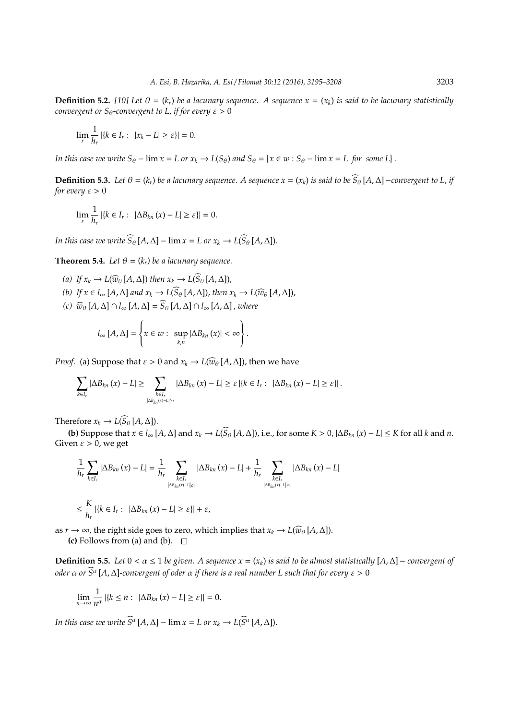**Definition 5.2.** [10] Let  $\theta = (k_r)$  be a lacunary sequence. A sequence  $x = (x_k)$  is said to be lacunary statistically *convergent or*  $S_\theta$ *-convergent to L, if for every*  $\varepsilon > 0$ 

$$
\lim_{r} \frac{1}{h_r} | \{ k \in I_r : \ |x_k - L| \ge \varepsilon \} | = 0.
$$

*In this case we write*  $S_{\theta}$  –  $\lim x = L$  *or*  $x_k \to L(S_{\theta})$  *and*  $S_{\theta} = \{x \in w : S_{\theta}$  –  $\lim x = L$  *for some*  $L\}$ .

**Definition 5.3.** Let  $\theta = (k_r)$  be a lacunary sequence. A sequence  $x = (x_k)$  is said to be  $\widehat{S}_{\theta}[A, \Delta]$  − convergent to L, if *for every*  $\varepsilon > 0$ 

$$
\lim_{r} \frac{1}{h_r} |\{k \in I_r : |\Delta B_{kn}(x) - L| \ge \varepsilon\}| = 0.
$$

*In this case we write*  $\widehat{S}_{\theta}[A, \Delta] - \lim x = L$  or  $x_k \to L(\widehat{S}_{\theta}[A, \Delta]).$ 

**Theorem 5.4.** *Let*  $\theta = (k_r)$  *be a lacunary sequence.* 

- *(a) If*  $x_k$  → *L*( $\widehat{w}_{\theta}$ [*A*,∆]) *then*  $x_k$  → *L*( $\widehat{S}_{\theta}$ [*A*,∆]),
- *(b) If*  $x \in l_{\infty}$  [*A*,  $\Delta$ ] *and*  $x_k \to L(\widehat{S}_{\theta} [A, \Delta])$ , *then*  $x_k \to L(\widehat{w}_{\theta} [A, \Delta])$ ,
- *(c)*  $\widehat{w}_{\theta}$  [*A*, ∆] ∩  $l_{\infty}$  [*A*, ∆] =  $\widehat{S}_{\theta}$  [*A*, ∆] ∩  $l_{\infty}$  [*A*, ∆], *where*

$$
l_{\infty}[A,\Delta]=\left\{x\in w:\ \sup_{k,n}|\Delta B_{kn}(x)|<\infty\right\}.
$$

*Proof.* (a) Suppose that  $\varepsilon > 0$  and  $x_k \to L(\widehat{w}_{\theta}[A,\Delta])$ , then we have

$$
\sum_{k\in I_r}|\Delta B_{kn}(x)-L|\geq \sum_{\substack{k\in I_r\\|\Delta B_{kn}(x)-L|\geq \varepsilon}}|\Delta B_{kn}(x)-L|\geq \varepsilon\,|\{k\in I_r:\ |\Delta B_{kn}(x)-L|\geq \varepsilon\}|\,.
$$

Therefore  $x_k \to L(\widehat{S}_{\theta}[A,\Delta]).$ 

**(b)** Suppose that  $x \in l_{\infty}[A, \Delta]$  and  $x_k \to L(\widehat{S}_{\theta}[A, \Delta])$ , i.e., for some  $K > 0$ ,  $|\Delta B_{kn}(x) - L| \leq K$  for all k and n. Given  $\varepsilon > 0$ , we get

$$
\frac{1}{h_r} \sum_{k \in I_r} |\Delta B_{kn}(x) - L| = \frac{1}{h_r} \sum_{\substack{k \in I_r \\ |\Delta B_{kn}(x) - L| \ge \varepsilon}} |\Delta B_{kn}(x) - L| + \frac{1}{h_r} \sum_{\substack{k \in I_r \\ |\Delta B_{kn}(x) - L| < \varepsilon}} |\Delta B_{kn}(x) - L|
$$
\n
$$
\le \frac{K}{h_r} |\{k \in I_r : |\Delta B_{kn}(x) - L| \ge \varepsilon\}| + \varepsilon,
$$

as *r* → ∞, the right side goes to zero, which implies that  $x_k \to L(\widehat{w}_{\theta}[A,\Delta])$ .

**(c)** Follows from (a) and (b).  $\Box$ 

**Definition 5.5.** Let 0 <  $\alpha$  ≤ 1 be given. A sequence  $x = (x_k)$  is said to be almost statistically  $[A, \Delta]$  − *convergent of oder*  $\alpha$  or  $S^{\alpha}$  [A,  $\Delta$ ]-convergent of oder  $\alpha$  if there is a real number L such that for every  $\varepsilon > 0$ 

$$
\lim_{n\to\infty}\frac{1}{n^{\alpha}}\left|\left\{k\leq n:\ |\Delta B_{kn}(x)-L|\geq \varepsilon\right\}\right|=0.
$$

*In this case we write*  $\widehat{S}^{\alpha}$   $[A, \Delta]$  –  $\lim x = L$  or  $x_k \to L(\widehat{S}^{\alpha} [A, \Delta])$ .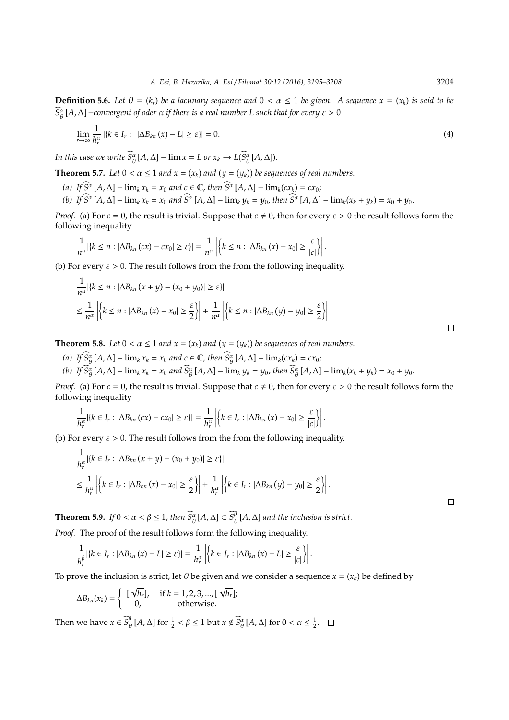**Definition 5.6.** Let  $\theta = (k_r)$  be a lacunary sequence and  $0 < \alpha \leq 1$  be given. A sequence  $x = (x_k)$  is said to be  $\widehat{S^{\alpha}_{\theta}}$ [A,∆] −convergent of oder α if there is a real number L such that for every ε > 0

$$
\lim_{r \to \infty} \frac{1}{h_r^{\alpha}} \left| \{ k \in I_r : \ |\Delta B_{kn}(x) - L| \ge \varepsilon \} \right| = 0. \tag{4}
$$

*In this case we write*  $\widehat{S}_{\theta}^{\alpha}[A, \Delta] - \lim x = L$  or  $x_k \to L(\widehat{S}_{\theta}^{\alpha}[A, \Delta]).$ 

1

**Theorem 5.7.** *Let*  $0 < \alpha \le 1$  *and*  $x = (x_k)$  *and*  $(y = (y_k))$  *be sequences of real numbers.* 

- $(g)$  *If*  $\widehat{S}^{\alpha}$  [*A*,  $\Delta$ ] − lim<sub>*k*</sub>  $x_k = x_0$  and  $c \in \mathbb{C}$ , then  $\widehat{S}^{\alpha}$  [*A*,  $\Delta$ ] − lim<sub>*k*</sub>( $cx_k$ ) =  $cx_0$ ;
- (b) If  $\widehat{S}^{\alpha}[A,\Delta] \lim_k x_k = x_0$  and  $\widehat{S}^{\alpha}[A,\Delta] \lim_k y_k = y_0$ , then  $\widehat{S}^{\alpha}[A,\Delta] \lim_k (x_k + y_k) = x_0 + y_0$ .

*Proof.* (a) For  $c = 0$ , the result is trivial. Suppose that  $c \neq 0$ , then for every  $\varepsilon > 0$  the result follows form the following inequality

$$
\frac{1}{n^{\alpha}}|\{k \leq n : |\Delta B_{kn}(cx) - cx_0| \geq \varepsilon\}| = \frac{1}{n^{\alpha}}\left|\{k \leq n : |\Delta B_{kn}(x) - x_0| \geq \frac{\varepsilon}{|c|}\}\right|.
$$

(b) For every  $\varepsilon > 0$ . The result follows from the from the following inequality.

$$
\frac{1}{n^{\alpha}}|\{k \le n : |\Delta B_{kn}(x+y) - (x_0+y_0)| \ge \varepsilon\}|
$$
  

$$
\le \frac{1}{n^{\alpha}}\left|\left\{k \le n : |\Delta B_{kn}(x) - x_0| \ge \frac{\varepsilon}{2}\right\}\right| + \frac{1}{n^{\alpha}}\left|\left\{k \le n : |\Delta B_{kn}(y) - y_0| \ge \frac{\varepsilon}{2}\right\}\right|
$$

**Theorem 5.8.** *Let*  $0 < \alpha \le 1$  *and*  $x = (x_k)$  *and*  $(y = (y_k))$  *be sequences of real numbers.* 

 $(g)$  *If*  $\widehat{S}_{\theta}^{\alpha}[A, \Delta] - \lim_{k} x_k = x_0$  and  $c \in \mathbb{C}$ , then  $\widehat{S}_{\theta}^{\alpha}[A, \Delta] - \lim_{k} (cx_k) = cx_0;$ 

(b) If  $\widehat{S}_{\theta}^{\alpha}[A,\Delta] - \lim_{k} x_{k} = x_{0}$  and  $\widehat{S}_{\theta}^{\alpha}[A,\Delta] - \lim_{k} y_{k} = y_{0}$ , then  $\widehat{S}_{\theta}^{\alpha}[A,\Delta] - \lim_{k} (x_{k} + y_{k}) = x_{0} + y_{0}$ .

*Proof.* (a) For  $c = 0$ , the result is trivial. Suppose that  $c \neq 0$ , then for every  $\varepsilon > 0$  the result follows form the following inequality

$$
\frac{1}{h_r^{\alpha}}|\{k\in I_r:|\Delta B_{kn}\left(cx\right)-cx_0|\geq \varepsilon\}|=\frac{1}{h_r^{\alpha}}\left|\left\{k\in I_r:|\Delta B_{kn}\left(x\right)-x_0|\geq \frac{\varepsilon}{|c|}\right\}\right|.
$$

(b) For every  $\varepsilon > 0$ . The result follows from the from the following inequality.

$$
\frac{1}{h_r^\alpha} |\{k \in I_r : |\Delta B_{kn}(x+y) - (x_0 + y_0)| \ge \varepsilon\}|
$$
\n
$$
\le \frac{1}{h_r^\alpha} \left| \{k \in I_r : |\Delta B_{kn}(x) - x_0| \ge \frac{\varepsilon}{2}\} \right| + \frac{1}{h_r^\alpha} \left| \{k \in I_r : |\Delta B_{kn}(y) - y_0| \ge \frac{\varepsilon}{2}\} \right|.
$$

**Theorem 5.9.** *If*  $0 < \alpha < \beta \le 1$ , *then*  $\widehat{S}_{\theta}^{\alpha}[A, \Delta] \subset \widehat{S}_{\theta}^{\beta}$  $_{\theta}^{\rho}$  [A,  $\Delta$ ] and the inclusion is strict.

*Proof.* The proof of the result follows form the following inequality.

$$
\frac{1}{h_r^{\beta}}|\{k \in I_r : |\Delta B_{kn}(x) - L| \geq \varepsilon\}| = \frac{1}{h_r^{\alpha}}\left|\{k \in I_r : |\Delta B_{kn}(x) - L| \geq \frac{\varepsilon}{|c|}\}\right|.
$$

To prove the inclusion is strict, let  $\theta$  be given and we consider a sequence  $x = (x_k)$  be defined by √

$$
\Delta B_{kn}(x_k) = \begin{cases}\n\begin{bmatrix}\n\sqrt{h_r}\end{bmatrix}, & \text{if } k = 1, 2, 3, \dots, \lfloor \sqrt{h_r}\rfloor;\n\end{cases}
$$
\nThen we have  $x \in \widehat{S}_{\theta}^{\beta}[A, \Delta]$  for  $\frac{1}{2} < \beta \le 1$  but  $x \notin \widehat{S}_{\theta}^{\alpha}[A, \Delta]$  for  $0 < \alpha \le \frac{1}{2}$ .  $\square$ 

 $\Box$ 

 $\Box$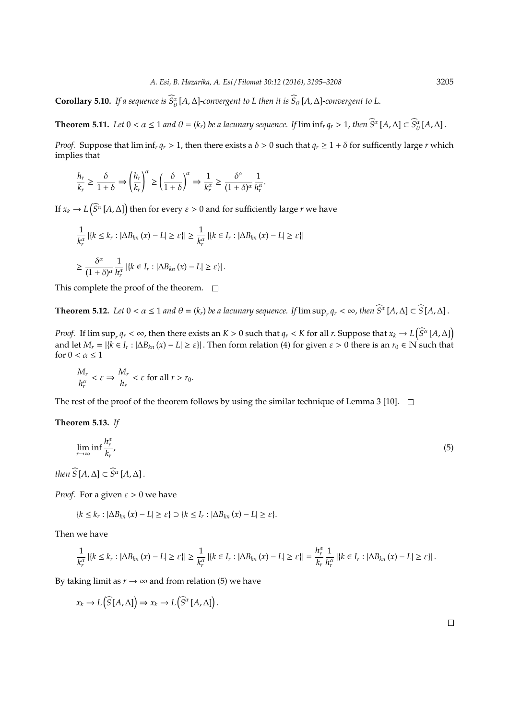**Corollary 5.10.** *If a sequence is*  $S^{\alpha}_{\theta}[A,\Delta]$ *-convergent to L then it is*  $S_{\theta}[A,\Delta]$ *-convergent to L.* 

**Theorem 5.11.** Let  $0 < \alpha \leq 1$  and  $\theta = (k_r)$  be a lacunary sequence. If  $\liminf_r q_r > 1$ , then  $\widehat{S}^{\alpha}[A, \Delta] \subset \widehat{S}_{\theta}^{\alpha}[A, \Delta]$ .

*Proof.* Suppose that  $\liminf_r q_r > 1$ , then there exists a  $\delta > 0$  such that  $q_r \geq 1 + \delta$  for sufficently large *r* which implies that

$$
\frac{h_r}{k_r} \ge \frac{\delta}{1+\delta} \Rightarrow \left(\frac{h_r}{k_r}\right)^{\alpha} \ge \left(\frac{\delta}{1+\delta}\right)^{\alpha} \Rightarrow \frac{1}{k_r^{\alpha}} \ge \frac{\delta^{\alpha}}{(1+\delta)^{\alpha}} \frac{1}{h_r^{\alpha}}.
$$

If  $x_k \to L(\widehat{S}^{\alpha}[A,\Delta])$  then for every  $\varepsilon > 0$  and for sufficiently large *r* we have

$$
\frac{1}{k_r^{\alpha}} | \{ k \le k_r : |\Delta B_{kn}(x) - L| \ge \varepsilon \} | \ge \frac{1}{k_r^{\alpha}} | \{ k \in I_r : |\Delta B_{kn}(x) - L| \ge \varepsilon \} |
$$
  

$$
\ge \frac{\delta^{\alpha}}{(1 + \delta)^{\alpha}} \frac{1}{h_r^{\alpha}} | \{ k \in I_r : |\Delta B_{kn}(x) - L| \ge \varepsilon \} |.
$$

This complete the proof of the theorem.  $\Box$ 

**Theorem 5.12.** Let  $0 < \alpha \leq 1$  and  $\theta = (k_r)$  be a lacunary sequence. If  $\limsup_r q_r < \infty$ , then  $\widehat{S}^{\alpha}[A,\Delta] \subset \widehat{S}[A,\Delta]$ .

*Proof.* If  $\limsup_{r} q_r < \infty$ , then there exists an  $K > 0$  such that  $q_r < K$  for all  $r$ . Suppose that  $x_k \to L(\widehat{S}^{\alpha}[A,\Delta])$ and let  $M_r = |\{k \in I_r : |\Delta B_{kn}(x) - L| \ge \varepsilon\}|$ . Then form relation (4) for given  $\varepsilon > 0$  there is an  $r_0 \in \mathbb{N}$  such that for  $0 < \alpha < 1$ 

$$
\frac{M_r}{h_r^{\alpha}} < \varepsilon \Rightarrow \frac{M_r}{h_r} < \varepsilon \text{ for all } r > r_0.
$$

The rest of the proof of the theorem follows by using the similar technique of Lemma 3 [10].  $\square$ 

## **Theorem 5.13.** *If*

$$
\lim_{r \to \infty} \inf \frac{h_r^{\alpha}}{k_r}.
$$
\n<sup>(5)</sup>

*then*  $\widehat{S}[A,\Delta] \subset \widehat{S}^{\alpha}[A,\Delta]$ .

*Proof.* For a given  $\varepsilon > 0$  we have

$$
\{k \leq k_r : |\Delta B_{kn}(x) - L| \geq \varepsilon\} \supset \{k \leq I_r : |\Delta B_{kn}(x) - L| \geq \varepsilon\}.
$$

Then we have

$$
\frac{1}{k_r^\alpha}\left|\left\{k\leq k_r:|\Delta B_{kn}\left(x\right)-L\right|\geq\varepsilon\right\}\right|\geq\frac{1}{k_r^\alpha}\left|\left\{k\in I_r:|\Delta B_{kn}\left(x\right)-L\right|\geq\varepsilon\right\}\right|=\frac{h_r^\alpha}{k_r}\frac{1}{h_r^\alpha}\left|\left\{k\in I_r:|\Delta B_{kn}\left(x\right)-L\right|\geq\varepsilon\right\}\right|.
$$

By taking limit as  $r \to \infty$  and from relation (5) we have

$$
x_k \to L\left(\widehat{S}[A,\Delta]\right) \Rightarrow x_k \to L\left(\widehat{S}^{\alpha}[A,\Delta]\right).
$$

 $\Box$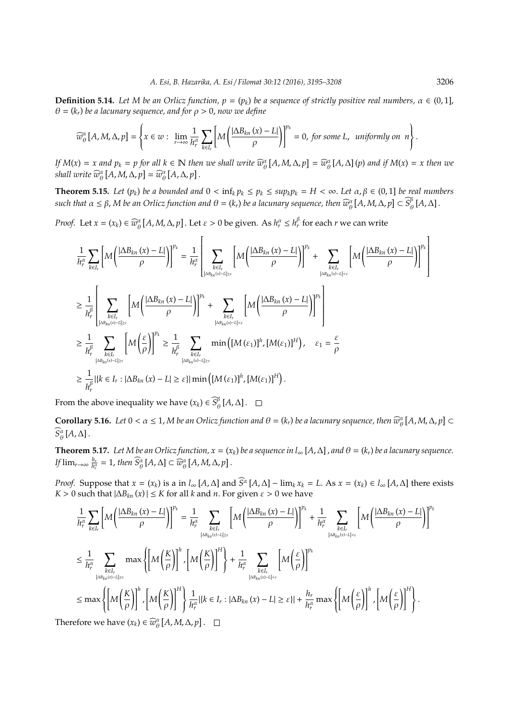**Definition 5.14.** *Let M be an Orlicz function,*  $p = (p_k)$  *be a sequence of strictly positive real numbers,*  $\alpha \in (0,1]$ , θ = (*k<sup>r</sup>* ) *be a lacunary sequence, and for* ρ > 0, *now we define*

$$
\widehat{w}_{\theta}^{\alpha}[A,M,\Delta,p] = \left\{ x \in w: \lim_{r \to \infty} \frac{1}{h_r^{\alpha}} \sum_{k \in I_r} \left[ M \left( \frac{|\Delta B_{kn}(x) - L|}{\rho} \right) \right]^{p_k} = 0, \text{ for some } L, \text{ uniformly on } n \right\}.
$$

If  $M(x) = x$  and  $p_k = p$  for all  $k \in \mathbb{N}$  then we shall write  $\widehat{w}_{\theta}^{\alpha}[A, M, \Delta, p] = \widehat{w}_{\theta}^{\alpha}[A, \Delta](p)$  and if  $M(x) = x$  then we shall write  $\widehat{w}_{\theta}^{\alpha} \left[ A, M, \Delta, p \right] = \widehat{w}_{\theta}^{\alpha} \left[ A, \Delta, p \right]$ .

**Theorem 5.15.** Let  $(p_k)$  be a bounded and  $0 < \inf_k p_k \leq p_k \leq sup_k p_k = H < \infty$ . Let  $\alpha, \beta \in (0,1]$  be real numbers  $s$ uch that  $\alpha \le \beta$ , M be an Orlicz function and  $\theta = (k_r)$  be a lacunary sequence, then  $\widehat{w}^{\alpha}_{\theta}\left[A,M,\Delta,p\right] \subset \widehat{S}^{\beta}_{\theta}$  $^{\rho}_{\theta}$ [A,  $\Delta$ ].

*Proof.* Let  $x = (x_k) \in \widehat{w}_{\theta}^{\alpha} [A, M, \Delta, p]$ . Let  $\varepsilon > 0$  be given. As  $h_r^{\alpha} \le h_r^{\beta}$  for each *r* we can write

$$
\frac{1}{h_r^{\alpha}} \sum_{k \in I_r} \left[ M \left( \frac{|\Delta B_{kn}(x) - L|}{\rho} \right) \right]^{p_k} = \frac{1}{h_r^{\alpha}} \left[ \sum_{k \in I_r} \left[ M \left( \frac{|\Delta B_{kn}(x) - L|}{\rho} \right) \right]^{p_k} + \sum_{\substack{k \in I_r \\ |\Delta B_{kn}(x) - L| \le \epsilon}} \left[ M \left( \frac{|\Delta B_{kn}(x) - L|}{\rho} \right) \right]^{p_k} \right]
$$
\n
$$
\ge \frac{1}{h_r^{\beta}} \left[ \sum_{\substack{k \in I_r \\ |\Delta B_{kn}(x) - L| \ge \epsilon}} \left[ M \left( \frac{|\Delta B_{kn}(x) - L|}{\rho} \right) \right]^{p_k} + \sum_{\substack{k \in I_r \\ |\Delta B_{kn}(x) - L| \le \epsilon}} \left[ M \left( \frac{|\Delta B_{kn}(x) - L|}{\rho} \right) \right]^{p_k} \right]
$$
\n
$$
\ge \frac{1}{h_r^{\beta}} \sum_{\substack{k \in I_r \\ |\Delta B_{kn}(x) - L| \ge \epsilon}} \left[ M \left( \frac{\epsilon}{\rho} \right) \right]^{p_k} \ge \frac{1}{h_r^{\beta}} \sum_{\substack{k \in I_r \\ |\Delta B_{kn}(x) - L| \ge \epsilon}} \min \left( [M(\epsilon_1)]^h, [M(\epsilon_1)]^H \right), \quad \epsilon_1 = \frac{\epsilon}{\rho}
$$
\n
$$
\ge \frac{1}{h_r^{\beta}} |k \in I_r : |\Delta B_{kn}(x) - L| \ge \epsilon | |\min \left( [M(\epsilon_1)]^h, [M(\epsilon_1)]^H \right).
$$

From the above inequality we have  $(x_k) \in \widehat{S}_{\epsilon}^{\beta}$  $^{\rho}_{\theta}$ [A,  $\Delta$ ].

**Corollary 5.16.** Let  $0 < \alpha \leq 1$ , *M* be an *Orlicz function and*  $\theta = (k_r)$  be a lacunary sequence, then  $\widehat{w}_{\theta}^{\alpha}[A, M, \Delta, p] \subset$  $S^{\alpha}_{\theta}[A,\Delta]$ .

**Theorem 5.17.** Let M be an Orlicz function,  $x = (x_k)$  be a sequence in l<sub>∞</sub> [A,  $\Delta$ ], and  $\theta = (k_r)$  be a lacunary sequence. *If*  $\lim_{r\to\infty} \frac{h_r}{h_r^{\alpha}} = 1$ , then  $\widehat{S}_{\theta}^{\alpha} [A, \Delta] \subset \widehat{w}_{\theta}^{\alpha} [A, M, \Delta, p]$ .

*Proof.* Suppose that  $x = (x_k)$  is a in  $l_\infty[A, \Delta]$  and  $\widehat{S}^\alpha[A, \Delta] - \lim_k x_k = L$ . As  $x = (x_k) \in l_\infty[A, \Delta]$  there exists *K* > 0 such that  $|\Delta B_{kn}(x)| \le K$  for all *k* and *n*. For given  $\varepsilon > 0$  we have

$$
\frac{1}{h_r^{\alpha}} \sum_{k \in I_r} \left[ M \left( \frac{|\Delta B_{kn}(x) - L|}{\rho} \right) \right]^{p_k} = \frac{1}{h_r^{\alpha}} \sum_{\substack{k \in I_r \\ |\Delta B_{kn}(x) - L| \ge \varepsilon}} \left[ M \left( \frac{|\Delta B_{kn}(x) - L|}{\rho} \right) \right]^{p_k} + \frac{1}{h_r^{\alpha}} \sum_{\substack{k \in I_r \\ |\Delta B_{kn}(x) - L| < \varepsilon}} \left[ M \left( \frac{|\Delta B_{kn}(x) - L|}{\rho} \right) \right]^{p_k}
$$
\n
$$
\le \frac{1}{h_r^{\alpha}} \sum_{\substack{k \in I_r \\ |\Delta B_{kn}(x) - L| \ge \varepsilon}} \max \left\{ \left[ M \left( \frac{K}{\rho} \right) \right]^n, \left[ M \left( \frac{K}{\rho} \right) \right]^H \right\} + \frac{1}{h_r^{\alpha}} \sum_{\substack{k \in I_r \\ |\Delta B_{kn}(x) - L| < \varepsilon}} \left[ M \left( \frac{\varepsilon}{\rho} \right) \right]^{p_k}
$$
\n
$$
\le \max \left\{ \left[ M \left( \frac{K}{\rho} \right) \right]^n, \left[ M \left( \frac{K}{\rho} \right) \right]^H \right\} \frac{1}{h_r^{\alpha}} | \{k \in I_r : |\Delta B_{kn}(x) - L| \ge \varepsilon \} | + \frac{h_r}{h_r^{\alpha}} \max \left\{ \left[ M \left( \frac{\varepsilon}{\rho} \right) \right]^n, \left[ M \left( \frac{\varepsilon}{\rho} \right) \right]^H \right\}.
$$

Therefore we have  $(x_k) \in \widehat{w}_{\theta}^{\alpha}[A, M, \Delta, p]$ .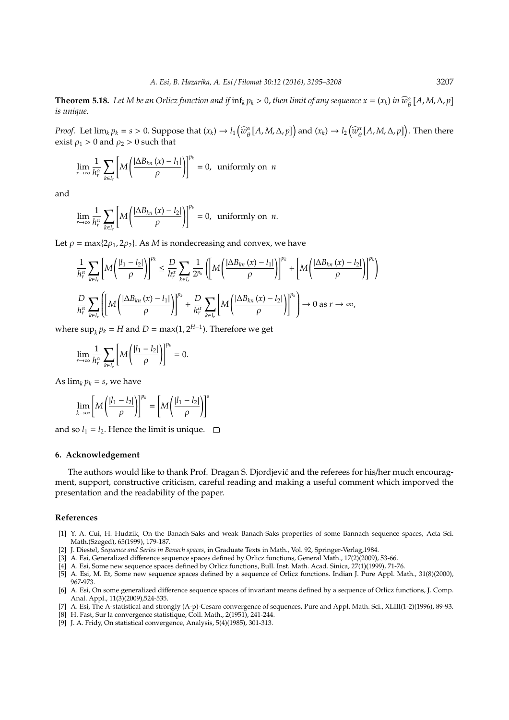**Theorem 5.18.** Let M be an Orlicz function and if  $\inf_k p_k > 0$ , then limit of any sequence  $x = (x_k)$  in  $\widehat{w}_{\theta}^{\alpha}[A, M, \Delta, p]$ *is unique.*

*Proof.* Let  $\lim_{k} p_k = s > 0$ . Suppose that  $(x_k) \to l_1(\widehat{w}_{\theta}^{\alpha}[A, M, \Delta, p])$  and  $(x_k) \to l_2(\widehat{w}_{\theta}^{\alpha}[A, M, \Delta, p])$ . Then there exist  $\rho_1 > 0$  and  $\rho_2 > 0$  such that

$$
\lim_{r \to \infty} \frac{1}{h_r^{\alpha}} \sum_{k \in I_r} \left[ M \left( \frac{|\Delta B_{kn}(x) - l_1|}{\rho} \right) \right]^{p_k} = 0, \text{ uniformly on } n
$$

and

$$
\lim_{r \to \infty} \frac{1}{h_r^{\alpha}} \sum_{k \in I_r} \left[ M \left( \frac{|\Delta B_{kn}(x) - l_2|}{\rho} \right) \right]^{p_k} = 0, \text{ uniformly on } n.
$$

Let  $\rho = \max\{2\rho_1, 2\rho_2\}$ . As *M* is nondecreasing and convex, we have

$$
\frac{1}{h_r^\alpha} \sum_{k \in I_r} \left[ M \left( \frac{|l_1 - l_2|}{\rho} \right) \right]^{p_k} \leq \frac{D}{h_r^\alpha} \sum_{k \in I_r} \frac{1}{2^{p_k}} \left( \left[ M \left( \frac{|\Delta B_{kn}(x) - l_1|}{\rho} \right) \right]^{p_k} + \left[ M \left( \frac{|\Delta B_{kn}(x) - l_2|}{\rho} \right) \right]^{p_k} \right)
$$
\n
$$
\frac{D}{h_r^\alpha} \sum_{k \in I_r} \left( \left[ M \left( \frac{|\Delta B_{kn}(x) - l_1|}{\rho} \right) \right]^{p_k} + \frac{D}{h_r^\alpha} \sum_{k \in I_r} \left[ M \left( \frac{|\Delta B_{kn}(x) - l_2|}{\rho} \right) \right]^{p_k} \right) \to 0 \text{ as } r \to \infty,
$$

where  $\sup_k p_k = H$  and  $D = \max(1, 2^{H-1})$ . Therefore we get

$$
\lim_{r \to \infty} \frac{1}{h_r^{\alpha}} \sum_{k \in I_r} \left[ M \left( \frac{|l_1 - l_2|}{\rho} \right) \right]^{p_k} = 0.
$$

As  $\lim_k p_k = s$ , we have

$$
\lim_{k \to \infty} \left[ M \left( \frac{|l_1 - l_2|}{\rho} \right) \right]^{p_k} = \left[ M \left( \frac{|l_1 - l_2|}{\rho} \right) \right]^s
$$

and so  $l_1 = l_2$ . Hence the limit is unique.  $\Box$ 

## **6. Acknowledgement**

The authors would like to thank Prof. Dragan S. Djordjević and the referees for his/her much encouragment, support, constructive criticism, careful reading and making a useful comment which imporved the presentation and the readability of the paper.

#### **References**

- [1] Y. A. Cui, H. Hudzik, On the Banach-Saks and weak Banach-Saks properties of some Bannach sequence spaces, Acta Sci. Math.(Szeged), 65(1999), 179-187.
- [2] J. Diestel, *Sequence and Series in Banach spaces*, in Graduate Texts in Math., Vol. 92, Springer-Verlag,1984.
- [3] A. Esi, Generalized difference sequence spaces defined by Orlicz functions, General Math., 17(2)(2009), 53-66.
- [4] A. Esi, Some new sequence spaces defined by Orlicz functions, Bull. Inst. Math. Acad. Sinica, 27(1)(1999), 71-76.
- [5] A. Esi, M. Et, Some new sequence spaces defined by a sequence of Orlicz functions. Indian J. Pure Appl. Math., 31(8)(2000), 967-973.
- [6] A. Esi, On some generalized difference sequence spaces of invariant means defined by a sequence of Orlicz functions, J. Comp. Anal. Appl., 11(3)(2009),524-535.
- [7] A. Esi, The A-statistical and strongly (A-p)-Cesaro convergence of sequences, Pure and Appl. Math. Sci., XLIII(1-2)(1996), 89-93.
- [8] H. Fast, Sur la convergence statistique, Coll. Math., 2(1951), 241-244.
- [9] J. A. Fridy, On statistical convergence, Analysis, 5(4)(1985), 301-313.